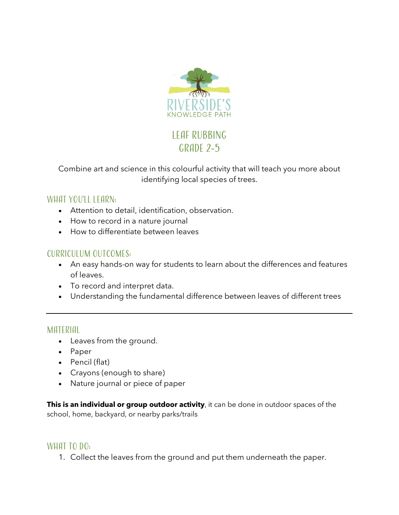

# Leaf rubbing GRADE 2-5

Combine art and science in this colourful activity that will teach you more about identifying local species of trees.

# WHAT YOU'LL LEARN:

- Attention to detail, identification, observation.
- How to record in a nature journal
- How to differentiate between leaves

## Curriculum Outcomes:

- An easy hands-on way for students to learn about the differences and features of leaves.
- To record and interpret data.
- Understanding the fundamental difference between leaves of different trees

#### Material

- Leaves from the ground.
- Paper
- Pencil (flat)
- Crayons (enough to share)
- Nature journal or piece of paper

**This is an individual or group outdoor activity**, it can be done in outdoor spaces of the school, home, backyard, or nearby parks/trails

#### WHAT TO DO:

1. Collect the leaves from the ground and put them underneath the paper.